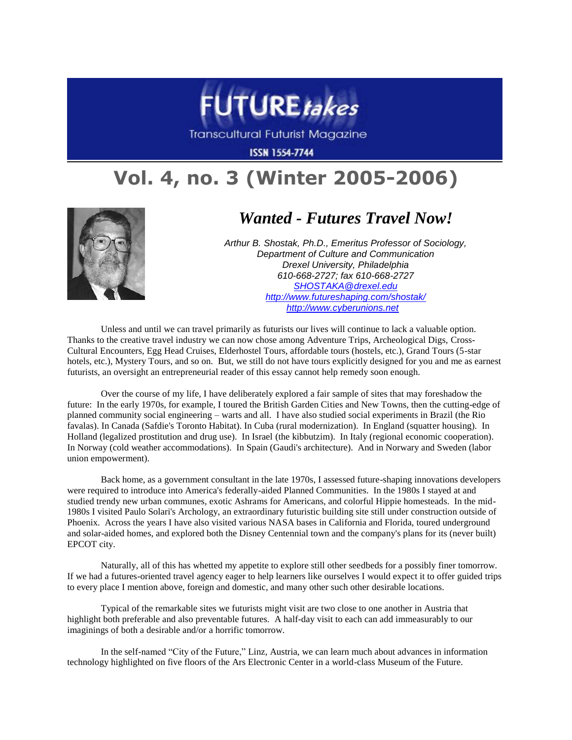

**Transcultural Futurist Magazine** 

**ISSN 1554-7744** 

## **Vol. 4, no. 3 (Winter 2005-2006)**



## *Wanted - Futures Travel Now!*

*Arthur B. Shostak, Ph.D., Emeritus Professor of Sociology, Department of Culture and Communication Drexel University, Philadelphia 610-668-2727; fax 610-668-2727 [SHOSTAKA@drexel.edu](mailto:SHOSTAKA@drexel.edu) <http://www.futureshaping.com/shostak/> [http://www.cyberunions.net](http://www.cyberunions.net/)*

Unless and until we can travel primarily as futurists our lives will continue to lack a valuable option. Thanks to the creative travel industry we can now chose among Adventure Trips, Archeological Digs, Cross-Cultural Encounters, Egg Head Cruises, Elderhostel Tours, affordable tours (hostels, etc.), Grand Tours (5-star hotels, etc.), Mystery Tours, and so on. But, we still do not have tours explicitly designed for you and me as earnest futurists, an oversight an entrepreneurial reader of this essay cannot help remedy soon enough.

Over the course of my life, I have deliberately explored a fair sample of sites that may foreshadow the future: In the early 1970s, for example, I toured the British Garden Cities and New Towns, then the cutting-edge of planned community social engineering – warts and all. I have also studied social experiments in Brazil (the Rio favalas). In Canada (Safdie's Toronto Habitat). In Cuba (rural modernization). In England (squatter housing). In Holland (legalized prostitution and drug use). In Israel (the kibbutzim). In Italy (regional economic cooperation). In Norway (cold weather accommodations). In Spain (Gaudi's architecture). And in Norwary and Sweden (labor union empowerment).

Back home, as a government consultant in the late 1970s, I assessed future-shaping innovations developers were required to introduce into America's federally-aided Planned Communities. In the 1980s I stayed at and studied trendy new urban communes, exotic Ashrams for Americans, and colorful Hippie homesteads. In the mid-1980s I visited Paulo Solari's Archology, an extraordinary futuristic building site still under construction outside of Phoenix. Across the years I have also visited various NASA bases in California and Florida, toured underground and solar-aided homes, and explored both the Disney Centennial town and the company's plans for its (never built) EPCOT city.

Naturally, all of this has whetted my appetite to explore still other seedbeds for a possibly finer tomorrow. If we had a futures-oriented travel agency eager to help learners like ourselves I would expect it to offer guided trips to every place I mention above, foreign and domestic, and many other such other desirable locations.

Typical of the remarkable sites we futurists might visit are two close to one another in Austria that highlight both preferable and also preventable futures. A half-day visit to each can add immeasurably to our imaginings of both a desirable and/or a horrific tomorrow.

In the self-named "City of the Future," Linz, Austria, we can learn much about advances in information technology highlighted on five floors of the Ars Electronic Center in a world-class Museum of the Future.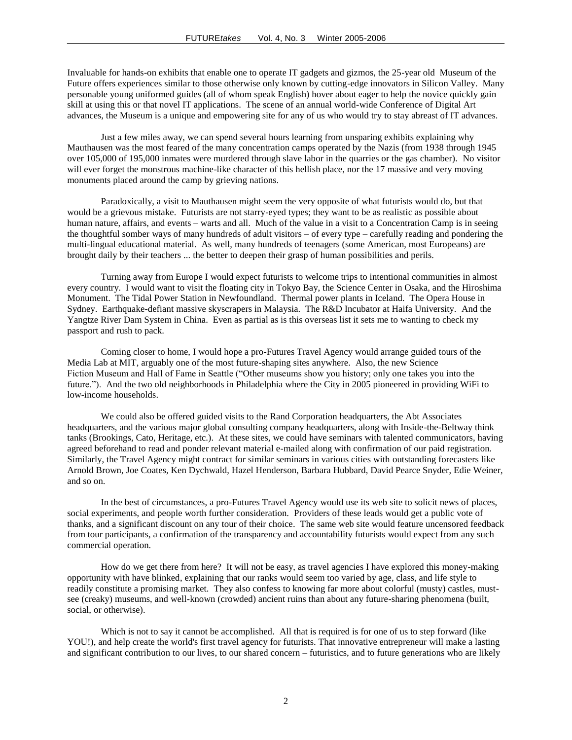Invaluable for hands-on exhibits that enable one to operate IT gadgets and gizmos, the 25-year old Museum of the Future offers experiences similar to those otherwise only known by cutting-edge innovators in Silicon Valley. Many personable young uniformed guides (all of whom speak English) hover about eager to help the novice quickly gain skill at using this or that novel IT applications. The scene of an annual world-wide Conference of Digital Art advances, the Museum is a unique and empowering site for any of us who would try to stay abreast of IT advances.

Just a few miles away, we can spend several hours learning from unsparing exhibits explaining why Mauthausen was the most feared of the many concentration camps operated by the Nazis (from 1938 through 1945 over 105,000 of 195,000 inmates were murdered through slave labor in the quarries or the gas chamber). No visitor will ever forget the monstrous machine-like character of this hellish place, nor the 17 massive and very moving monuments placed around the camp by grieving nations.

Paradoxically, a visit to Mauthausen might seem the very opposite of what futurists would do, but that would be a grievous mistake. Futurists are not starry-eyed types; they want to be as realistic as possible about human nature, affairs, and events – warts and all. Much of the value in a visit to a Concentration Camp is in seeing the thoughtful somber ways of many hundreds of adult visitors – of every type – carefully reading and pondering the multi-lingual educational material. As well, many hundreds of teenagers (some American, most Europeans) are brought daily by their teachers ... the better to deepen their grasp of human possibilities and perils.

Turning away from Europe I would expect futurists to welcome trips to intentional communities in almost every country. I would want to visit the floating city in Tokyo Bay, the Science Center in Osaka, and the Hiroshima Monument. The Tidal Power Station in Newfoundland. Thermal power plants in Iceland. The Opera House in Sydney. Earthquake-defiant massive skyscrapers in Malaysia. The R&D Incubator at Haifa University. And the Yangtze River Dam System in China. Even as partial as is this overseas list it sets me to wanting to check my passport and rush to pack.

Coming closer to home, I would hope a pro-Futures Travel Agency would arrange guided tours of the Media Lab at MIT, arguably one of the most future-shaping sites anywhere. Also, the new Science Fiction Museum and Hall of Fame in Seattle ("Other museums show you history; only one takes you into the future."). And the two old neighborhoods in Philadelphia where the City in 2005 pioneered in providing WiFi to low-income households.

We could also be offered guided visits to the Rand Corporation headquarters, the Abt Associates headquarters, and the various major global consulting company headquarters, along with Inside-the-Beltway think tanks (Brookings, Cato, Heritage, etc.). At these sites, we could have seminars with talented communicators, having agreed beforehand to read and ponder relevant material e-mailed along with confirmation of our paid registration. Similarly, the Travel Agency might contract for similar seminars in various cities with outstanding forecasters like Arnold Brown, Joe Coates, Ken Dychwald, Hazel Henderson, Barbara Hubbard, David Pearce Snyder, Edie Weiner, and so on.

In the best of circumstances, a pro-Futures Travel Agency would use its web site to solicit news of places, social experiments, and people worth further consideration. Providers of these leads would get a public vote of thanks, and a significant discount on any tour of their choice. The same web site would feature uncensored feedback from tour participants, a confirmation of the transparency and accountability futurists would expect from any such commercial operation.

How do we get there from here? It will not be easy, as travel agencies I have explored this money-making opportunity with have blinked, explaining that our ranks would seem too varied by age, class, and life style to readily constitute a promising market. They also confess to knowing far more about colorful (musty) castles, mustsee (creaky) museums, and well-known (crowded) ancient ruins than about any future-sharing phenomena (built, social, or otherwise).

Which is not to say it cannot be accomplished. All that is required is for one of us to step forward (like YOU!), and help create the world's first travel agency for futurists. That innovative entrepreneur will make a lasting and significant contribution to our lives, to our shared concern – futuristics, and to future generations who are likely